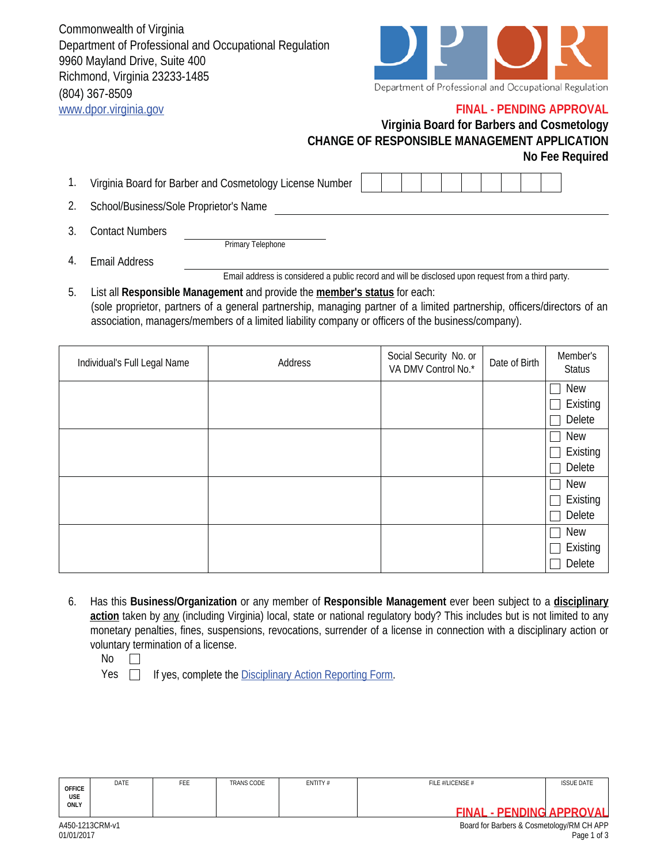Commonwealth of Virginia Department of Professional and Occupational Regulation 9960 Mayland Drive, Suite 400 Richmond, Virginia 23233-1485 (804) 367-8509 www.dpor.virginia.gov



Department of Professional and Occupational Regulation

## **FINAL - PENDING APPROVAL**

## **Virginia Board for Barbers and Cosmetology CHANGE OF RESPONSIBLE MANAGEMENT APPLICATION No Fee Required**

- 1. Virginia Board for Barber and Cosmetology License Number
- 2. School/Business/Sole Proprietor's Name
- 3. Contact Numbers

Primary Telephone

- Email Address Email address is considered a public record and will be disclosed upon request from a third party. 4.
- List all **Responsible Management** and provide the **member's status** for each: (sole proprietor, partners of a general partnership, managing partner of a limited partnership, officers/directors of an association, managers/members of a limited liability company or officers of the business/company). 5.

| Individual's Full Legal Name | Address | Social Security No. or<br>VA DMV Control No.* | Date of Birth | Member's<br><b>Status</b> |
|------------------------------|---------|-----------------------------------------------|---------------|---------------------------|
|                              |         |                                               |               | <b>New</b>                |
|                              |         |                                               |               | Existing                  |
|                              |         |                                               |               | Delete                    |
|                              |         |                                               |               | New                       |
|                              |         |                                               |               | Existing                  |
|                              |         |                                               |               | Delete                    |
|                              |         |                                               |               | <b>New</b>                |
|                              |         |                                               |               | Existing                  |
|                              |         |                                               |               | Delete                    |
|                              |         |                                               |               | <b>New</b>                |
|                              |         |                                               |               | Existing                  |
|                              |         |                                               |               | Delete                    |

- 6. Has this **Business/Organization** or any member of **Responsible Management** ever been subject to a **disciplinary action** taken by any (including Virginia) local, state or national regulatory body? This includes but is not limited to any monetary penalties, fines, suspensions, revocations, surrender of a license in connection with a disciplinary action or voluntary termination of a license.
	- No  $\Box$

Yes  $\Box$  If yes, complete the Disciplinary Action Reporting Form.

| <b>OFFICE</b><br>USE | DATE | FEE | TRANS CODE | ENTITY# | FILE #/LICENSE # | <b>ISSUE DATE</b> |
|----------------------|------|-----|------------|---------|------------------|-------------------|
| <b>ONLY</b>          |      |     |            | FINΔ    | PENDING APPROVAL |                   |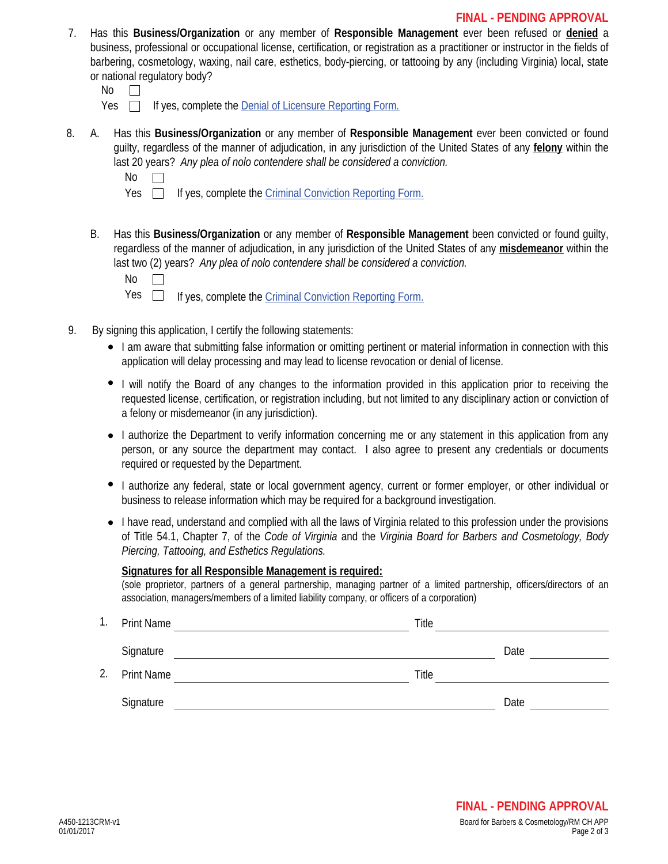- 7. Has this **Business/Organization** or any member of **Responsible Management** ever been refused or **denied** a business, professional or occupational license, certification, or registration as a practitioner or instructor in the fields of barbering, cosmetology, waxing, nail care, esthetics, body-piercing, or tattooing by any (including Virginia) local, state or national regulatory body?
	- No  $\Box$
	- $Yes \Box$  If yes, complete the Denial of Licensure Reporting Form.
- A. Has this **Business/Organization** or any member of **Responsible Management** ever been convicted or found guilty, regardless of the manner of adjudication, in any jurisdiction of the United States of any **felony** within the last 20 years? *Any plea of nolo contendere shall be considered a conviction.* 8.
	- No

Yes  $\Box$ If yes, complete the Criminal Conviction Reporting Form.

B. Has this **Business/Organization** or any member of **Responsible Management** been convicted or found guilty, regardless of the manner of adjudication, in any jurisdiction of the United States of any **misdemeanor** within the last two (2) years? *Any plea of nolo contendere shall be considered a conviction.*

No

 $\perp$ 

Yes  $\Box$ If yes, complete the Criminal Conviction Reporting Form.

- 9. By signing this application, I certify the following statements:
	- I am aware that submitting false information or omitting pertinent or material information in connection with this application will delay processing and may lead to license revocation or denial of license.
	- I will notify the Board of any changes to the information provided in this application prior to receiving the requested license, certification, or registration including, but not limited to any disciplinary action or conviction of a felony or misdemeanor (in any jurisdiction).
	- I authorize the Department to verify information concerning me or any statement in this application from any person, or any source the department may contact. I also agree to present any credentials or documents required or requested by the Department.
	- I authorize any federal, state or local government agency, current or former employer, or other individual or business to release information which may be required for a background investigation.
	- I have read, understand and complied with all the laws of Virginia related to this profession under the provisions of Title 54.1, Chapter 7, of the *Code of Virginia* and the *Virginia Board for Barbers and Cosmetology, Body Piercing, Tattooing, and Esthetics Regulations.*

## **Signatures for all Responsible Management is required:**

(sole proprietor, partners of a general partnership, managing partner of a limited partnership, officers/directors of an association, managers/members of a limited liability company, or officers of a corporation)

| ι. | <b>Print Name</b> | Title |      |
|----|-------------------|-------|------|
|    | Signature         |       | Date |
| 2. | <b>Print Name</b> | Title |      |
|    | Signature         |       | Date |